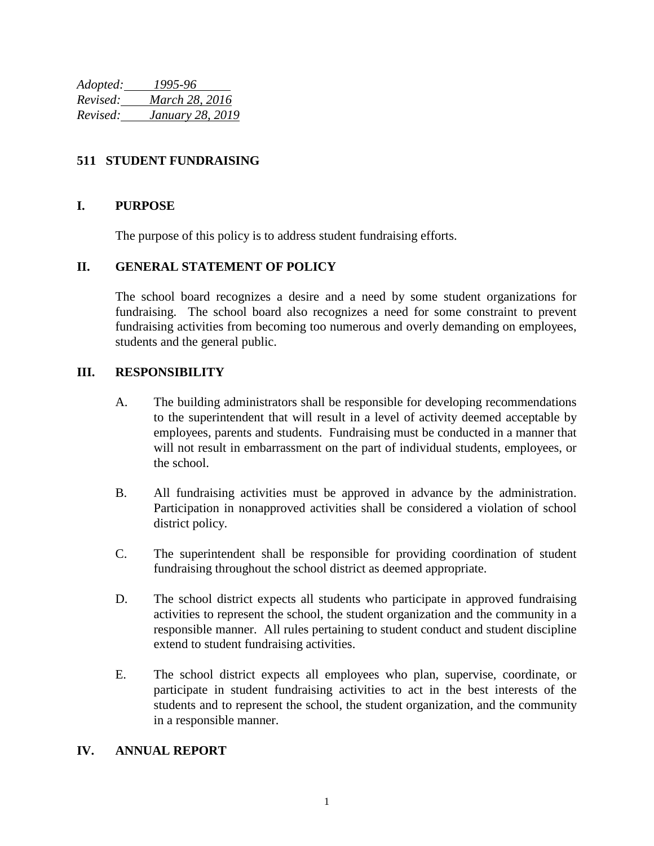*Adopted: 1995-96 Revised: March 28, 2016 Revised: January 28, 2019*

# **511 STUDENT FUNDRAISING**

### **I. PURPOSE**

The purpose of this policy is to address student fundraising efforts.

# **II. GENERAL STATEMENT OF POLICY**

The school board recognizes a desire and a need by some student organizations for fundraising. The school board also recognizes a need for some constraint to prevent fundraising activities from becoming too numerous and overly demanding on employees, students and the general public.

#### **III. RESPONSIBILITY**

- A. The building administrators shall be responsible for developing recommendations to the superintendent that will result in a level of activity deemed acceptable by employees, parents and students. Fundraising must be conducted in a manner that will not result in embarrassment on the part of individual students, employees, or the school.
- B. All fundraising activities must be approved in advance by the administration. Participation in nonapproved activities shall be considered a violation of school district policy.
- C. The superintendent shall be responsible for providing coordination of student fundraising throughout the school district as deemed appropriate.
- D. The school district expects all students who participate in approved fundraising activities to represent the school, the student organization and the community in a responsible manner. All rules pertaining to student conduct and student discipline extend to student fundraising activities.
- E. The school district expects all employees who plan, supervise, coordinate, or participate in student fundraising activities to act in the best interests of the students and to represent the school, the student organization, and the community in a responsible manner.

#### **IV. ANNUAL REPORT**